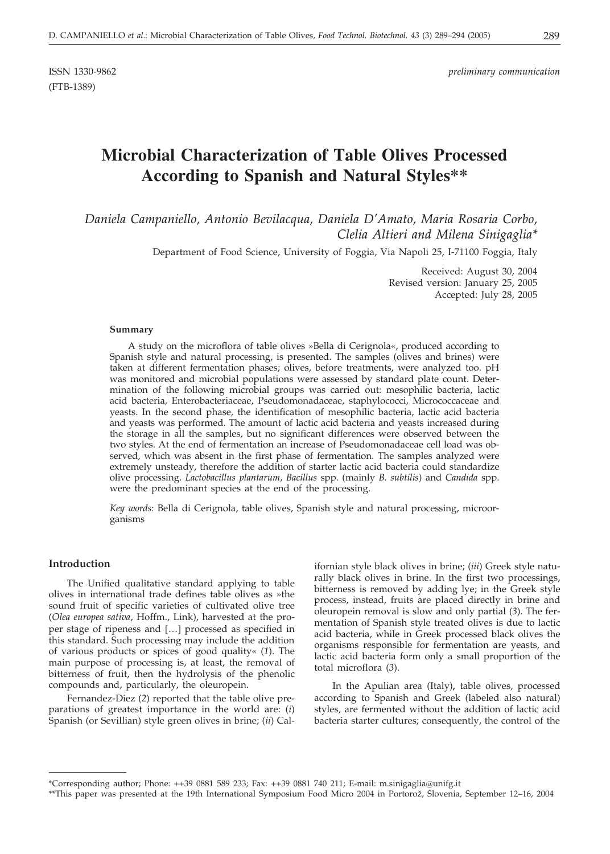# **Microbial Characterization of Table Olives Processed According to Spanish and Natural Styles\*\***

*Daniela Campaniello, Antonio Bevilacqua, Daniela D'Amato, Maria Rosaria Corbo, Clelia Altieri and Milena Sinigaglia\**

Department of Food Science, University of Foggia, Via Napoli 25, I-71100 Foggia, Italy

Received: August 30, 2004 Revised version: January 25, 2005 Accepted: July 28, 2005

#### **Summary**

A study on the microflora of table olives »Bella di Cerignola«, produced according to Spanish style and natural processing, is presented. The samples (olives and brines) were taken at different fermentation phases; olives, before treatments, were analyzed too. pH was monitored and microbial populations were assessed by standard plate count. Determination of the following microbial groups was carried out: mesophilic bacteria, lactic acid bacteria, Enterobacteriaceae, Pseudomonadaceae, staphylococci, Micrococcaceae and yeasts. In the second phase, the identification of mesophilic bacteria, lactic acid bacteria and yeasts was performed. The amount of lactic acid bacteria and yeasts increased during the storage in all the samples, but no significant differences were observed between the two styles. At the end of fermentation an increase of Pseudomonadaceae cell load was observed, which was absent in the first phase of fermentation. The samples analyzed were extremely unsteady, therefore the addition of starter lactic acid bacteria could standardize olive processing. *Lactobacillus plantarum*, *Bacillus* spp. (mainly *B. subtilis*) and *Candida* spp. were the predominant species at the end of the processing.

*Key words*: Bella di Cerignola, table olives, Spanish style and natural processing, microorganisms

## **Introduction**

The Unified qualitative standard applying to table olives in international trade defines table olives as »the sound fruit of specific varieties of cultivated olive tree (*Olea europea sativa*, Hoffm., Link), harvested at the proper stage of ripeness and [...] processed as specified in this standard. Such processing may include the addition of various products or spices of good quality« (*1*). The main purpose of processing is, at least, the removal of bitterness of fruit, then the hydrolysis of the phenolic compounds and, particularly, the oleuropein.

Fernandez-Diez (*2*) reported that the table olive preparations of greatest importance in the world are: (*i*) Spanish (or Sevillian) style green olives in brine; (*ii*) Californian style black olives in brine; (*iii*) Greek style naturally black olives in brine. In the first two processings, bitterness is removed by adding lye; in the Greek style process, instead, fruits are placed directly in brine and oleuropein removal is slow and only partial (*3*). The fermentation of Spanish style treated olives is due to lactic acid bacteria, while in Greek processed black olives the organisms responsible for fermentation are yeasts, and lactic acid bacteria form only a small proportion of the total microflora (*3*).

In the Apulian area (Italy)**,** table olives, processed according to Spanish and Greek (labeled also natural) styles, are fermented without the addition of lactic acid bacteria starter cultures; consequently, the control of the

<sup>\*</sup>Corresponding author; Phone: ++39 0881 589 233; Fax: ++39 0881 740 211; E-mail: m.sinigaglia*@*unifg.it

<sup>\*\*</sup>This paper was presented at the 19th International Symposium Food Micro 2004 in Portorož, Slovenia, September 12–16, 2004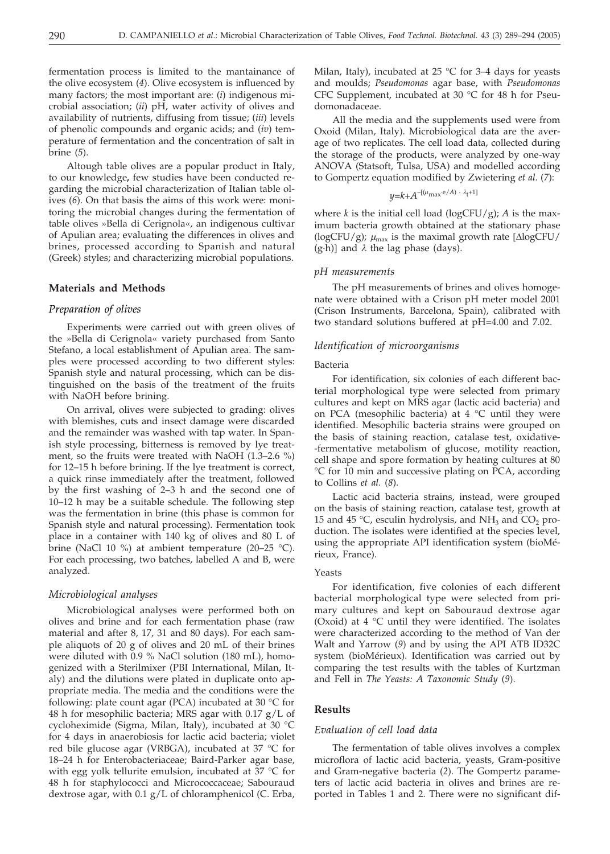fermentation process is limited to the mantainance of the olive ecosystem (*4*). Olive ecosystem is influenced by many factors; the most important are: (*i*) indigenous microbial association; (*ii*) pH, water activity of olives and availability of nutrients, diffusing from tissue; (*iii*) levels of phenolic compounds and organic acids; and (*iv*) temperature of fermentation and the concentration of salt in brine (*5*).

Altough table olives are a popular product in Italy, to our knowledge**,** few studies have been conducted regarding the microbial characterization of Italian table olives (*6*). On that basis the aims of this work were: monitoring the microbial changes during the fermentation of table olives »Bella di Cerignola«, an indigenous cultivar of Apulian area; evaluating the differences in olives and brines, processed according to Spanish and natural (Greek) styles; and characterizing microbial populations.

#### **Materials and Methods**

#### *Preparation of olives*

Experiments were carried out with green olives of the »Bella di Cerignola« variety purchased from Santo Stefano, a local establishment of Apulian area. The samples were processed according to two different styles: Spanish style and natural processing, which can be distinguished on the basis of the treatment of the fruits with NaOH before brining.

On arrival, olives were subjected to grading: olives with blemishes, cuts and insect damage were discarded and the remainder was washed with tap water. In Spanish style processing, bitterness is removed by lye treatment, so the fruits were treated with NaOH (1.3–2.6 %) for 12–15 h before brining. If the lye treatment is correct, a quick rinse immediately after the treatment, followed by the first washing of 2–3 h and the second one of 10–12 h may be a suitable schedule. The following step was the fermentation in brine (this phase is common for Spanish style and natural processing). Fermentation took place in a container with 140 kg of olives and 80 L of brine (NaCl 10 %) at ambient temperature (20–25 °C). For each processing, two batches, labelled A and B, were analyzed.

#### *Microbiological analyses*

Microbiological analyses were performed both on olives and brine and for each fermentation phase (raw material and after 8, 17, 31 and 80 days). For each sample aliquots of 20 g of olives and 20 mL of their brines were diluted with 0.9 % NaCl solution (180 mL), homogenized with a Sterilmixer (PBI International, Milan, Italy) and the dilutions were plated in duplicate onto appropriate media. The media and the conditions were the following: plate count agar (PCA) incubated at 30 °C for 48 h for mesophilic bacteria; MRS agar with 0.17 g/L of cycloheximide (Sigma, Milan, Italy), incubated at 30 °C for 4 days in anaerobiosis for lactic acid bacteria; violet red bile glucose agar (VRBGA), incubated at 37 °C for 18–24 h for Enterobacteriaceae; Baird-Parker agar base, with egg yolk tellurite emulsion, incubated at 37 °C for 48 h for staphylococci and Micrococcaceae; Sabouraud dextrose agar, with 0.1 g/L of chloramphenicol (C. Erba,

Milan, Italy), incubated at 25 °C for 3–4 days for yeasts and moulds; *Pseudomonas* agar base, with *Pseudomonas* CFC Supplement, incubated at 30 °C for 48 h for Pseudomonadaceae.

All the media and the supplements used were from Oxoid (Milan, Italy). Microbiological data are the average of two replicates. The cell load data, collected during the storage of the products, were analyzed by one-way ANOVA (Statsoft, Tulsa, USA) and modelled according to Gompertz equation modified by Zwietering *et al.* (*7*):

$$
y = k + A^{-[(\mu_{\text{max}} \cdot e/A) \cdot \lambda_{\text{t}}+1]}
$$

where *k* is the initial cell load (logCFU/g); *A* is the maximum bacteria growth obtained at the stationary phase (logCFU/g);  $\mu_{\text{max}}$  is the maximal growth rate [ $\Delta$ logCFU/  $(g-h)$ ] and  $\lambda$  the lag phase (days).

#### *pH measurements*

The pH measurements of brines and olives homogenate were obtained with a Crison pH meter model 2001 (Crison Instruments, Barcelona, Spain), calibrated with two standard solutions buffered at pH=4.00 and 7.02.

#### *Identification of microorganisms*

#### Bacteria

For identification, six colonies of each different bacterial morphological type were selected from primary cultures and kept on MRS agar (lactic acid bacteria) and on PCA (mesophilic bacteria) at 4 °C until they were identified. Mesophilic bacteria strains were grouped on the basis of staining reaction, catalase test, oxidative- -fermentative metabolism of glucose, motility reaction, cell shape and spore formation by heating cultures at 80 °C for 10 min and successive plating on PCA, according to Collins *et al.* (*8*).

Lactic acid bacteria strains, instead, were grouped on the basis of staining reaction, catalase test, growth at 15 and 45 °C, esculin hydrolysis, and NH<sub>3</sub> and CO<sub>2</sub> production. The isolates were identified at the species level, using the appropriate API identification system (bioMérieux, France).

#### Yeasts

For identification, five colonies of each different bacterial morphological type were selected from primary cultures and kept on Sabouraud dextrose agar (Oxoid) at 4 °C until they were identified. The isolates were characterized according to the method of Van der Walt and Yarrow (*9*) and by using the API ATB ID32C system (bioMérieux). Identification was carried out by comparing the test results with the tables of Kurtzman and Fell in *The Yeasts: A Taxonomic Study* (*9*).

# **Results**

#### *Evaluation of cell load data*

The fermentation of table olives involves a complex microflora of lactic acid bacteria, yeasts, Gram-positive and Gram-negative bacteria (*2*). The Gompertz parameters of lactic acid bacteria in olives and brines are reported in Tables 1 and 2. There were no significant dif-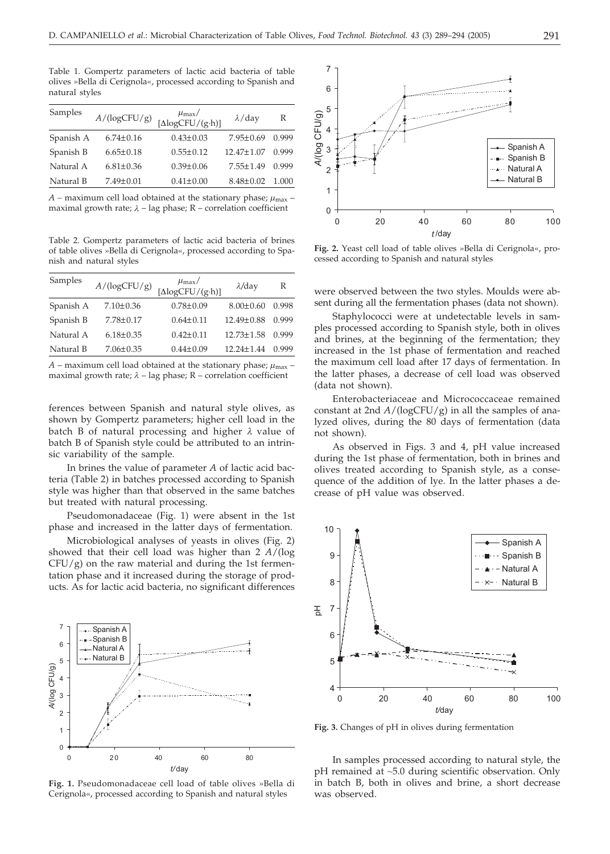Table 1. Gompertz parameters of lactic acid bacteria of table olives »Bella di Cerignola«, processed according to Spanish and natural styles

| Samples   | $A/(\log CFU/g)$ | $\mu_{\rm max}/$<br>$[\Delta logCFU/(g \cdot h)]$ | $\lambda$ /day   | R     |
|-----------|------------------|---------------------------------------------------|------------------|-------|
| Spanish A | $6.74 \pm 0.16$  | $0.43 \pm 0.03$                                   | $7.95 \pm 0.69$  | 0.999 |
| Spanish B | $6.65 \pm 0.18$  | $0.55 \pm 0.12$                                   | $12.47 \pm 1.07$ | 0.999 |
| Natural A | $6.81 \pm 0.36$  | $0.39 \pm 0.06$                                   | $7.55 \pm 1.49$  | 0.999 |
| Natural B | $7.49 \pm 0.01$  | $0.41 \pm 0.00$                                   | $8.48 \pm 0.02$  | 1.000 |

 $A$  – maximum cell load obtained at the stationary phase;  $\mu_{\text{max}}$  – maximal growth rate; *l* – lag phase; R – correlation coefficient

Table 2. Gompertz parameters of lactic acid bacteria of brines of table olives »Bella di Cerignola«, processed according to Spanish and natural styles

| $A/(\log CFU/g)$ | $\mu_{\text{max}}/\text{[AlogCFU/(g\cdot h)]}$ | $\lambda$ /day   | R     |
|------------------|------------------------------------------------|------------------|-------|
| $7.10 \pm 0.36$  | $0.78 \pm 0.09$                                | $8.00 \pm 0.60$  | 0.998 |
| $7.78 \pm 0.17$  | $0.64 \pm 0.11$                                | 12.49±0.88       | 0.999 |
| $6.18 \pm 0.35$  | $0.42 + 0.11$                                  | $12.73 \pm 1.58$ | 0.999 |
| $7.06 \pm 0.35$  | $0.44 \pm 0.09$                                | $12.24 \pm 1.44$ | 0.999 |
|                  |                                                |                  |       |

 $A$  – maximum cell load obtained at the stationary phase;  $\mu_{\text{max}}$  – maximal growth rate;  $\lambda$  – lag phase; R – correlation coefficient

ferences between Spanish and natural style olives, as shown by Gompertz parameters; higher cell load in the batch B of natural processing and higher *l* value of batch B of Spanish style could be attributed to an intrinsic variability of the sample.

In brines the value of parameter *A* of lactic acid bacteria (Table 2) in batches processed according to Spanish style was higher than that observed in the same batches but treated with natural processing.

Pseudomonadaceae (Fig. 1) were absent in the 1st phase and increased in the latter days of fermentation.

Microbiological analyses of yeasts in olives (Fig. 2) showed that their cell load was higher than 2 *A*/(log  $CFU/g$ ) on the raw material and during the 1st fermentation phase and it increased during the storage of products. As for lactic acid bacteria, no significant differences



**Fig. 1.** Pseudomonadaceae cell load of table olives »Bella di Cerignola«, processed according to Spanish and natural styles



**Fig. 2.** Yeast cell load of table olives »Bella di Cerignola«, processed according to Spanish and natural styles

were observed between the two styles. Moulds were absent during all the fermentation phases (data not shown).

Staphylococci were at undetectable levels in samples processed according to Spanish style, both in olives and brines, at the beginning of the fermentation; they increased in the 1st phase of fermentation and reached the maximum cell load after 17 days of fermentation. In the latter phases, a decrease of cell load was observed (data not shown).

Enterobacteriaceae and Micrococcaceae remained constant at 2nd *A*/(logCFU/g) in all the samples of analyzed olives, during the 80 days of fermentation (data not shown).

As observed in Figs. 3 and 4, pH value increased during the 1st phase of fermentation, both in brines and olives treated according to Spanish style, as a consequence of the addition of lye. In the latter phases a decrease of pH value was observed.



**Fig. 3.** Changes of pH in olives during fermentation

In samples processed according to natural style, the pH remained at *~*5.0 during scientific observation. Only in batch B, both in olives and brine, a short decrease was observed.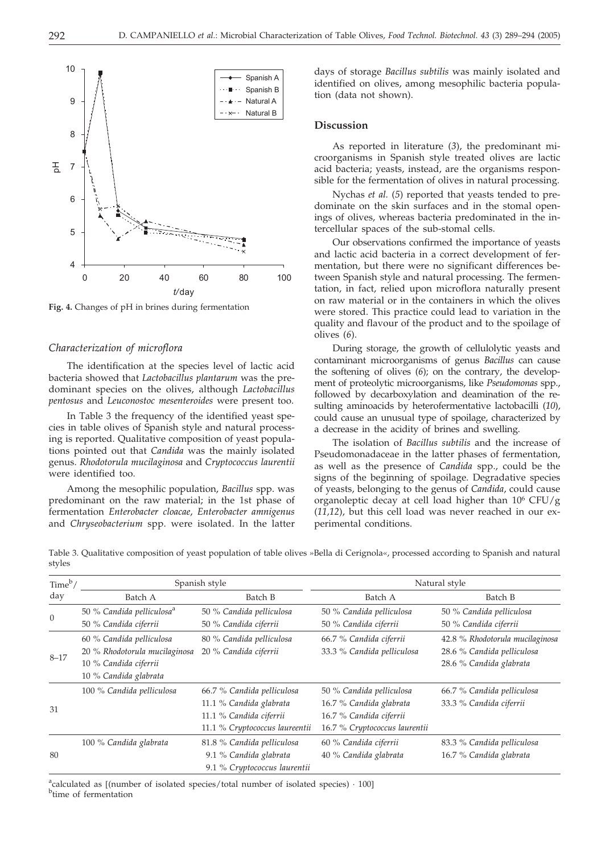

**Fig. 4.** Changes of pH in brines during fermentation

#### *Characterization of microflora*

The identification at the species level of lactic acid bacteria showed that *Lactobacillus plantarum* was the predominant species on the olives, although *Lactobacillus pentosus* and *Leuconostoc mesenteroides* were present too.

In Table 3 the frequency of the identified yeast species in table olives of Spanish style and natural processing is reported. Qualitative composition of yeast populations pointed out that *Candida* was the mainly isolated genus. *Rhodotorula mucilaginosa* and *Cryptococcus laurentii* were identified too.

Among the mesophilic population, *Bacillus* spp. was predominant on the raw material; in the 1st phase of fermentation *Enterobacter cloacae*, *Enterobacter amnigenus* and *Chryseobacterium* spp. were isolated. In the latter days of storage *Bacillus subtilis* was mainly isolated and identified on olives, among mesophilic bacteria population (data not shown).

## **Discussion**

As reported in literature (*3*), the predominant microorganisms in Spanish style treated olives are lactic acid bacteria; yeasts, instead, are the organisms responsible for the fermentation of olives in natural processing.

Nychas *et al.* (*5*) reported that yeasts tended to predominate on the skin surfaces and in the stomal openings of olives, whereas bacteria predominated in the intercellular spaces of the sub-stomal cells.

Our observations confirmed the importance of yeasts and lactic acid bacteria in a correct development of fermentation, but there were no significant differences between Spanish style and natural processing. The fermentation, in fact, relied upon microflora naturally present on raw material or in the containers in which the olives were stored. This practice could lead to variation in the quality and flavour of the product and to the spoilage of olives (*6*).

During storage, the growth of cellulolytic yeasts and contaminant microorganisms of genus *Bacillus* can cause the softening of olives (*6*); on the contrary, the development of proteolytic microorganisms, like *Pseudomonas* spp., followed by decarboxylation and deamination of the resulting aminoacids by heterofermentative lactobacilli (*10*), could cause an unusual type of spoilage, characterized by a decrease in the acidity of brines and swelling.

The isolation of *Bacillus subtilis* and the increase of Pseudomonadaceae in the latter phases of fermentation, as well as the presence of *Candida* spp., could be the signs of the beginning of spoilage. Degradative species of yeasts, belonging to the genus of *Candida*, could cause organoleptic decay at cell load higher than  $10^6$  CFU/g (*11,12*), but this cell load was never reached in our experimental conditions.

Table 3. Qualitative composition of yeast population of table olives »Bella di Cerignola«, processed according to Spanish and natural styles

| Time <sup>b</sup> /<br>day | Spanish style                                                                                               |                                                                                                                    | Natural style                                                                                                   |                                                                                          |  |
|----------------------------|-------------------------------------------------------------------------------------------------------------|--------------------------------------------------------------------------------------------------------------------|-----------------------------------------------------------------------------------------------------------------|------------------------------------------------------------------------------------------|--|
|                            | Batch A                                                                                                     | Batch B                                                                                                            | Batch A                                                                                                         | Batch B                                                                                  |  |
| $\theta$                   | 50 % Candida pelliculosa <sup>a</sup><br>50 % Candida ciferrii                                              | 50 % Candida pelliculosa<br>50 % Candida ciferrii                                                                  | 50 % Candida pelliculosa<br>50 % Candida ciferrii                                                               | 50 % Candida pelliculosa<br>50 % Candida ciferrii                                        |  |
| $8 - 17$                   | 60 % Candida pelliculosa<br>20 % Rhodotorula mucilaginosa<br>10 % Candida ciferrii<br>10 % Candida glabrata | 80 % Candida pelliculosa<br>20 % Candida ciferrii                                                                  | 66.7 % Candida ciferrii<br>33.3 % Candida pelliculosa                                                           | 42.8 % Rhodotorula mucilaginosa<br>28.6 % Candida pelliculosa<br>28.6 % Candida glabrata |  |
| 31                         | 100 % Candida pelliculosa                                                                                   | 66.7 % Candida pelliculosa<br>11.1 % Candida glabrata<br>11.1 % Candida ciferrii<br>11.1 % Cryptococcus laureentii | 50 % Candida pelliculosa<br>16.7 % Candida glabrata<br>16.7 % Candida ciferrii<br>16.7 % Cryptococcus laurentii | 66.7 % Candida pelliculosa<br>33.3 % Candida ciferrii                                    |  |
| 80                         | 100 % Candida glabrata                                                                                      | 81.8 % Candida pelliculosa<br>9.1 % Candida glabrata<br>9.1 % Cryptococcus laurentii                               | 60 % Candida ciferrii<br>40 % Candida glabrata                                                                  | 83.3 % Candida pelliculosa<br>16.7 % Candida glabrata                                    |  |

<sup>a</sup>calculated as [(number of isolated species/total number of isolated species) · 100] <sup>b</sup>time of fermentation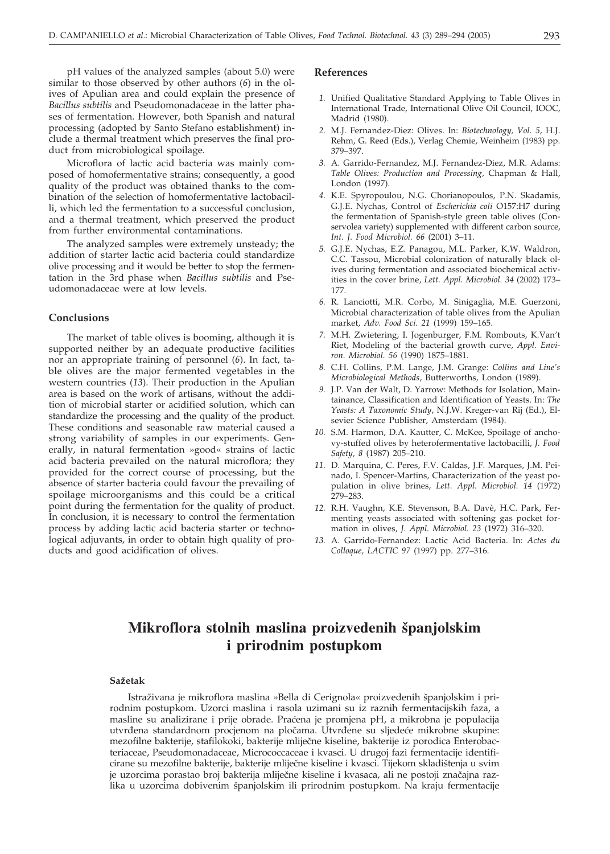pH values of the analyzed samples (about 5.0) were similar to those observed by other authors (*6*) in the olives of Apulian area and could explain the presence of *Bacillus subtilis* and Pseudomonadaceae in the latter phases of fermentation. However, both Spanish and natural processing (adopted by Santo Stefano establishment) include a thermal treatment which preserves the final product from microbiological spoilage.

Microflora of lactic acid bacteria was mainly composed of homofermentative strains; consequently, a good quality of the product was obtained thanks to the combination of the selection of homofermentative lactobacilli, which led the fermentation to a successful conclusion, and a thermal treatment, which preserved the product from further environmental contaminations.

The analyzed samples were extremely unsteady; the addition of starter lactic acid bacteria could standardize olive processing and it would be better to stop the fermentation in the 3rd phase when *Bacillus subtilis* and Pseudomonadaceae were at low levels.

#### **Conclusions**

The market of table olives is booming, although it is supported neither by an adequate productive facilities nor an appropriate training of personnel (*6*). In fact, table olives are the major fermented vegetables in the western countries (*13*). Their production in the Apulian area is based on the work of artisans, without the addition of microbial starter or acidified solution, which can standardize the processing and the quality of the product. These conditions and seasonable raw material caused a strong variability of samples in our experiments. Generally, in natural fermentation »good« strains of lactic acid bacteria prevailed on the natural microflora; they provided for the correct course of processing, but the absence of starter bacteria could favour the prevailing of spoilage microorganisms and this could be a critical point during the fermentation for the quality of product. In conclusion, it is necessary to control the fermentation process by adding lactic acid bacteria starter or technological adjuvants, in order to obtain high quality of products and good acidification of olives.

#### **References**

- *1.* Unified Qualitative Standard Applying to Table Olives in International Trade, International Olive Oil Council, IOOC, Madrid (1980).
- *2.* M.J. Fernandez-Diez: Olives. In: *Biotechnology, Vol. 5*, H.J. Rehm, G. Reed (Eds.), Verlag Chemie, Weinheim (1983) pp. 379–397.
- *3.* A. Garrido-Fernandez, M.J. Fernandez-Diez, M.R. Adams: *Table Olives: Production and Processing,* Chapman & Hall, London (1997).
- *4.* K.E. Spyropoulou, N.G. Chorianopoulos, P.N. Skadamis, G.J.E. Nychas, Control of *Escherichia coli* O157:H7 during the fermentation of Spanish-style green table olives (Conservolea variety) supplemented with different carbon source, *Int. J. Food Microbiol. 66* (2001) 3–11.
- *5.* G.J.E. Nychas, E.Z. Panagou, M.L. Parker, K.W. Waldron, C.C. Tassou, Microbial colonization of naturally black olives during fermentation and associated biochemical activities in the cover brine, *Lett. Appl. Microbiol. 34* (2002) 173– 177.
- *6.* R. Lanciotti, M.R. Corbo, M. Sinigaglia, M.E. Guerzoni, Microbial characterization of table olives from the Apulian market, *Adv. Food Sci. 21* (1999) 159–165.
- *7.* M.H. Zwietering, I. Jogenburger, F.M. Rombouts, K.Van't Riet, Modeling of the bacterial growth curve, *Appl. Environ. Microbiol. 56* (1990) 1875–1881.
- *8.* C.H. Collins, P.M. Lange, J.M. Grange: *Collins and Line's Microbiological Methods*, Butterworths, London (1989).
- *9.* J.P. Van der Walt, D. Yarrow: Methods for Isolation, Maintainance, Classification and Identification of Yeasts. In: *The Yeasts: A Taxonomic Study*, N.J.W. Kreger-van Rij (Ed.), Elsevier Science Publisher, Amsterdam (1984).
- *10.* S.M. Harmon, D.A. Kautter, C. McKee, Spoilage of anchovy-stuffed olives by heterofermentative lactobacilli, *J. Food Safety, 8* (1987) 205–210.
- *11.* D. Marquina, C. Peres, F.V. Caldas, J.F. Marques, J.M. Peinado, I. Spencer-Martins, Characterization of the yeast population in olive brines, *Lett. Appl. Microbiol. 14* (1972) 279–283.
- *12.* R.H. Vaughn, K.E. Stevenson, B.A. Davè, H.C. Park, Fermenting yeasts associated with softening gas pocket formation in olives, *J. Appl. Microbiol. 23* (1972) 316–320.
- *13.* A. Garrido-Fernandez: Lactic Acid Bacteria*.* In: *Actes du Colloque, LACTIC 97* (1997) pp. 277–316.

# **Mikroflora stolnih maslina proizvedenih {panjolskim i prirodnim postupkom**

#### **Sa`etak**

Istraživana je mikroflora maslina »Bella di Cerignola« proizvedenih španjolskim i prirodnim postupkom. Uzorci maslina i rasola uzimani su iz raznih fermentacijskih faza, a masline su analizirane i prije obrade. Praćena je promjena pH, a mikrobna je populacija utvrđena standardnom procjenom na pločama. Utvrđene su sljedeće mikrobne skupine: mezofilne bakterije, stafilokoki, bakterije mliječne kiseline, bakterije iz porodica Enterobacteriaceae, Pseudomonadaceae, Micrococcaceae i kvasci. U drugoj fazi fermentacije identificirane su mezofilne bakterije, bakterije mliječne kiseline i kvasci. Tijekom skladištenja u svim je uzorcima porastao broj bakterija mliječne kiseline i kvasaca, ali ne postoji značajna razlika u uzorcima dobivenim {panjolskim ili prirodnim postupkom. Na kraju fermentacije